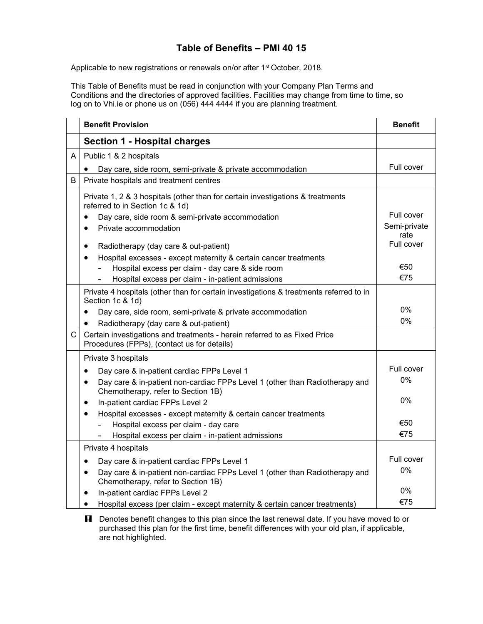## **Table of Benefits – PMI 40 15**

Applicable to new registrations or renewals on/or after 1<sup>st</sup> October, 2018.

This Table of Benefits must be read in conjunction with your Company Plan Terms and Conditions and the directories of approved facilities. Facilities may change from time to time, so log on to Vhi.ie or phone us on (056) 444 4444 if you are planning treatment.

|              | <b>Benefit Provision</b>                                                                                                       | <b>Benefit</b>     |
|--------------|--------------------------------------------------------------------------------------------------------------------------------|--------------------|
|              | <b>Section 1 - Hospital charges</b>                                                                                            |                    |
| A            | Public 1 & 2 hospitals                                                                                                         |                    |
|              | Day care, side room, semi-private & private accommodation                                                                      | Full cover         |
| B            | Private hospitals and treatment centres                                                                                        |                    |
|              | Private 1, 2 & 3 hospitals (other than for certain investigations & treatments<br>referred to in Section 1c & 1d)              |                    |
|              | Day care, side room & semi-private accommodation                                                                               | Full cover         |
|              | Private accommodation<br>$\bullet$                                                                                             | Semi-private       |
|              |                                                                                                                                | rate<br>Full cover |
|              | Radiotherapy (day care & out-patient)<br>$\bullet$                                                                             |                    |
|              | Hospital excesses - except maternity & certain cancer treatments<br>$\bullet$                                                  |                    |
|              | Hospital excess per claim - day care & side room                                                                               | €50                |
|              | Hospital excess per claim - in-patient admissions                                                                              | €75                |
|              | Private 4 hospitals (other than for certain investigations & treatments referred to in<br>Section 1c & 1d)                     |                    |
|              | Day care, side room, semi-private & private accommodation                                                                      | 0%                 |
|              | Radiotherapy (day care & out-patient)<br>$\bullet$                                                                             | 0%                 |
| $\mathsf{C}$ | Certain investigations and treatments - herein referred to as Fixed Price<br>Procedures (FPPs), (contact us for details)       |                    |
|              | Private 3 hospitals                                                                                                            |                    |
|              | Day care & in-patient cardiac FPPs Level 1<br>$\bullet$                                                                        | Full cover         |
|              | Day care & in-patient non-cardiac FPPs Level 1 (other than Radiotherapy and<br>$\bullet$<br>Chemotherapy, refer to Section 1B) | 0%                 |
|              | In-patient cardiac FPPs Level 2<br>$\bullet$                                                                                   | 0%                 |
|              | Hospital excesses - except maternity & certain cancer treatments<br>$\bullet$                                                  |                    |
|              | Hospital excess per claim - day care                                                                                           | €50                |
|              | Hospital excess per claim - in-patient admissions                                                                              | €75                |
|              | Private 4 hospitals                                                                                                            |                    |
|              | Day care & in-patient cardiac FPPs Level 1<br>$\bullet$                                                                        | Full cover         |
|              | Day care & in-patient non-cardiac FPPs Level 1 (other than Radiotherapy and<br>$\bullet$<br>Chemotherapy, refer to Section 1B) | 0%                 |
|              | In-patient cardiac FPPs Level 2<br>٠                                                                                           | 0%                 |
|              | Hospital excess (per claim - except maternity & certain cancer treatments)<br>$\bullet$                                        | €75                |

**H** Denotes benefit changes to this plan since the last renewal date. If you have moved to or purchased this plan for the first time, benefit differences with your old plan, if applicable, are not highlighted.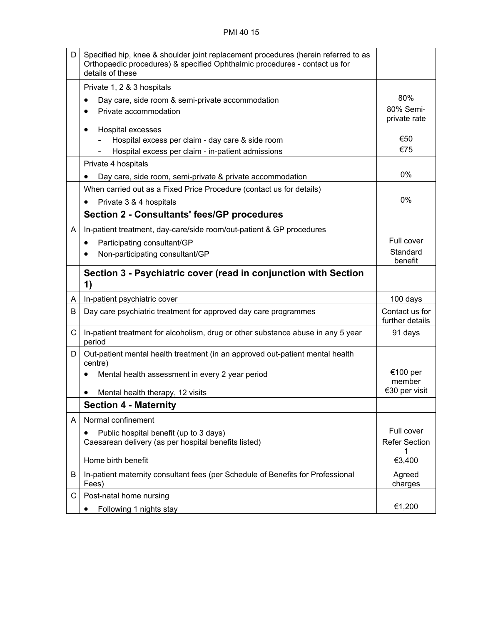| D | Specified hip, knee & shoulder joint replacement procedures (herein referred to as<br>Orthopaedic procedures) & specified Ophthalmic procedures - contact us for<br>details of these |                                   |
|---|--------------------------------------------------------------------------------------------------------------------------------------------------------------------------------------|-----------------------------------|
|   | Private 1, 2 & 3 hospitals                                                                                                                                                           |                                   |
|   | Day care, side room & semi-private accommodation                                                                                                                                     | 80%                               |
|   | Private accommodation<br>$\bullet$                                                                                                                                                   | 80% Semi-<br>private rate         |
|   | Hospital excesses                                                                                                                                                                    |                                   |
|   | Hospital excess per claim - day care & side room                                                                                                                                     | €50<br>€75                        |
|   | Hospital excess per claim - in-patient admissions                                                                                                                                    |                                   |
|   | Private 4 hospitals                                                                                                                                                                  |                                   |
|   | Day care, side room, semi-private & private accommodation                                                                                                                            | 0%                                |
|   | When carried out as a Fixed Price Procedure (contact us for details)                                                                                                                 |                                   |
|   | Private 3 & 4 hospitals<br>٠                                                                                                                                                         | 0%                                |
|   | <b>Section 2 - Consultants' fees/GP procedures</b>                                                                                                                                   |                                   |
| A | In-patient treatment, day-care/side room/out-patient & GP procedures                                                                                                                 |                                   |
|   | Participating consultant/GP<br>٠                                                                                                                                                     | Full cover                        |
|   | Non-participating consultant/GP                                                                                                                                                      | Standard<br>benefit               |
|   | Section 3 - Psychiatric cover (read in conjunction with Section<br>1)                                                                                                                |                                   |
| A | In-patient psychiatric cover                                                                                                                                                         | 100 days                          |
| В | Day care psychiatric treatment for approved day care programmes                                                                                                                      | Contact us for<br>further details |
| C | In-patient treatment for alcoholism, drug or other substance abuse in any 5 year<br>period                                                                                           | 91 days                           |
| D | Out-patient mental health treatment (in an approved out-patient mental health<br>centre)                                                                                             |                                   |
|   | Mental health assessment in every 2 year period                                                                                                                                      | €100 per<br>member                |
|   | Mental health therapy, 12 visits                                                                                                                                                     | €30 per visit                     |
|   | <b>Section 4 - Maternity</b>                                                                                                                                                         |                                   |
| A | Normal confinement                                                                                                                                                                   |                                   |
|   | Public hospital benefit (up to 3 days)<br>٠                                                                                                                                          | Full cover                        |
|   | Caesarean delivery (as per hospital benefits listed)                                                                                                                                 | <b>Refer Section</b>              |
|   | Home birth benefit                                                                                                                                                                   | 1<br>€3,400                       |
| В | In-patient maternity consultant fees (per Schedule of Benefits for Professional<br>Fees)                                                                                             | Agreed<br>charges                 |
| С | Post-natal home nursing                                                                                                                                                              |                                   |
|   | Following 1 nights stay<br>$\bullet$                                                                                                                                                 | €1,200                            |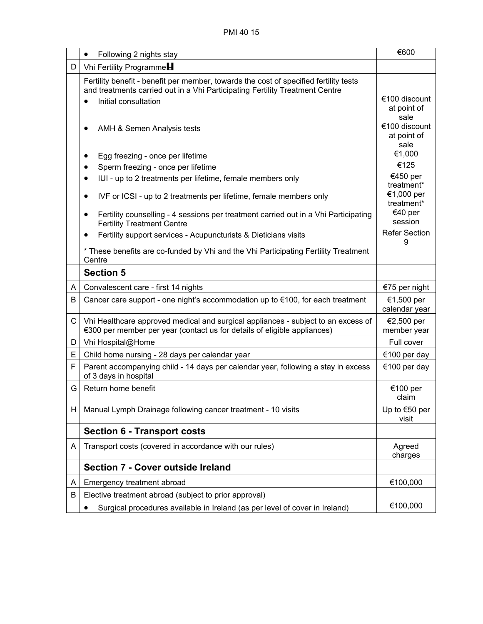|   | Following 2 nights stay<br>$\bullet$                                                     | €600                            |
|---|------------------------------------------------------------------------------------------|---------------------------------|
| D | Vhi Fertility Programme                                                                  |                                 |
|   | Fertility benefit - benefit per member, towards the cost of specified fertility tests    |                                 |
|   | and treatments carried out in a Vhi Participating Fertility Treatment Centre             |                                 |
|   | Initial consultation<br>$\bullet$                                                        | €100 discount<br>at point of    |
|   |                                                                                          | sale                            |
|   | AMH & Semen Analysis tests                                                               | €100 discount                   |
|   |                                                                                          | at point of<br>sale             |
|   | Egg freezing - once per lifetime<br>٠                                                    | €1,000                          |
|   | Sperm freezing - once per lifetime                                                       | €125                            |
|   | IUI - up to 2 treatments per lifetime, female members only<br>$\bullet$                  | €450 per                        |
|   |                                                                                          | treatment*<br>€1,000 per        |
|   | IVF or ICSI - up to 2 treatments per lifetime, female members only<br>$\bullet$          | treatment*                      |
|   | Fertility counselling - 4 sessions per treatment carried out in a Vhi Participating<br>٠ | €40 per                         |
|   | <b>Fertility Treatment Centre</b>                                                        | session<br><b>Refer Section</b> |
|   | Fertility support services - Acupuncturists & Dieticians visits<br>٠                     | 9                               |
|   | * These benefits are co-funded by Vhi and the Vhi Participating Fertility Treatment      |                                 |
|   | Centre                                                                                   |                                 |
|   | <b>Section 5</b>                                                                         |                                 |
| A | Convalescent care - first 14 nights                                                      | €75 per night                   |
| B | Cancer care support - one night's accommodation up to €100, for each treatment           | €1,500 per<br>calendar year     |
| C | Vhi Healthcare approved medical and surgical appliances - subject to an excess of        | €2,500 per                      |
|   | €300 per member per year (contact us for details of eligible appliances)                 | member year                     |
| D | Vhi Hospital@Home                                                                        | Full cover                      |
| Е | Child home nursing - 28 days per calendar year                                           | €100 per day                    |
| F | Parent accompanying child - 14 days per calendar year, following a stay in excess        | €100 per day                    |
|   | of 3 days in hospital                                                                    |                                 |
| G | Return home benefit                                                                      | €100 per<br>claim               |
| H | Manual Lymph Drainage following cancer treatment - 10 visits                             | Up to €50 per                   |
|   |                                                                                          | visit                           |
|   | <b>Section 6 - Transport costs</b>                                                       |                                 |
| A | Transport costs (covered in accordance with our rules)                                   | Agreed                          |
|   |                                                                                          | charges                         |
|   | <b>Section 7 - Cover outside Ireland</b>                                                 |                                 |
| A | Emergency treatment abroad                                                               | €100,000                        |
| B | Elective treatment abroad (subject to prior approval)                                    |                                 |
|   | Surgical procedures available in Ireland (as per level of cover in Ireland)              | €100,000                        |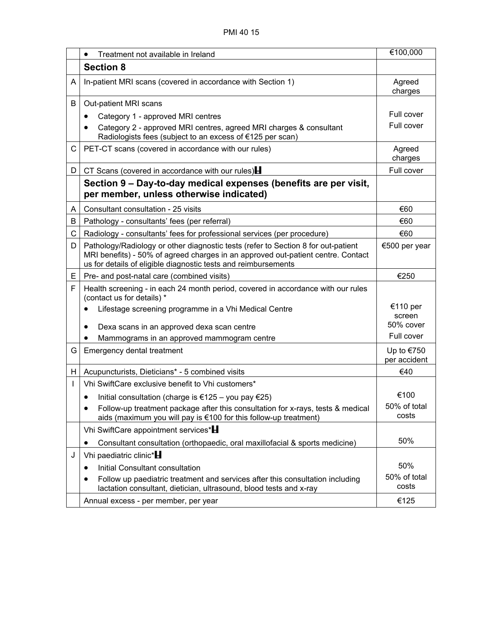|    | Treatment not available in Ireland<br>$\bullet$                                                                                                                                                                                         | €100,000                   |
|----|-----------------------------------------------------------------------------------------------------------------------------------------------------------------------------------------------------------------------------------------|----------------------------|
|    | <b>Section 8</b>                                                                                                                                                                                                                        |                            |
| A  | In-patient MRI scans (covered in accordance with Section 1)                                                                                                                                                                             | Agreed<br>charges          |
| B  | Out-patient MRI scans                                                                                                                                                                                                                   |                            |
|    | Category 1 - approved MRI centres<br>$\bullet$                                                                                                                                                                                          | Full cover                 |
|    | Category 2 - approved MRI centres, agreed MRI charges & consultant<br>Radiologists fees (subject to an excess of €125 per scan)                                                                                                         | Full cover                 |
| C  | PET-CT scans (covered in accordance with our rules)                                                                                                                                                                                     | Agreed<br>charges          |
| D. | CT Scans (covered in accordance with our rules) $\blacksquare$                                                                                                                                                                          | Full cover                 |
|    | Section 9 – Day-to-day medical expenses (benefits are per visit,<br>per member, unless otherwise indicated)                                                                                                                             |                            |
| A  | Consultant consultation - 25 visits                                                                                                                                                                                                     | €60                        |
| B  | Pathology - consultants' fees (per referral)                                                                                                                                                                                            | €60                        |
| C  | Radiology - consultants' fees for professional services (per procedure)                                                                                                                                                                 | €60                        |
| D  | Pathology/Radiology or other diagnostic tests (refer to Section 8 for out-patient<br>MRI benefits) - 50% of agreed charges in an approved out-patient centre. Contact<br>us for details of eligible diagnostic tests and reimbursements | €500 per year              |
| E. | Pre- and post-natal care (combined visits)                                                                                                                                                                                              | €250                       |
| F  | Health screening - in each 24 month period, covered in accordance with our rules<br>(contact us for details) *                                                                                                                          |                            |
|    | Lifestage screening programme in a Vhi Medical Centre                                                                                                                                                                                   | €110 per<br>screen         |
|    | Dexa scans in an approved dexa scan centre                                                                                                                                                                                              | 50% cover                  |
|    | Mammograms in an approved mammogram centre                                                                                                                                                                                              | Full cover                 |
| G  | Emergency dental treatment                                                                                                                                                                                                              | Up to €750<br>per accident |
| H. | Acupuncturists, Dieticians* - 5 combined visits                                                                                                                                                                                         | €40                        |
| L  | Vhi SwiftCare exclusive benefit to Vhi customers*                                                                                                                                                                                       |                            |
|    | Initial consultation (charge is €125 – you pay €25)                                                                                                                                                                                     | €100                       |
|    | Follow-up treatment package after this consultation for x-rays, tests & medical<br>$\bullet$<br>aids (maximum you will pay is €100 for this follow-up treatment)                                                                        | 50% of total<br>costs      |
|    | Vhi SwiftCare appointment services* <b>H</b>                                                                                                                                                                                            |                            |
|    | Consultant consultation (orthopaedic, oral maxillofacial & sports medicine)<br>$\bullet$                                                                                                                                                | 50%                        |
| J  | Vhi paediatric clinic* $\blacksquare$                                                                                                                                                                                                   |                            |
|    | Initial Consultant consultation<br>$\bullet$                                                                                                                                                                                            | 50%                        |
|    | Follow up paediatric treatment and services after this consultation including<br>lactation consultant, dietician, ultrasound, blood tests and x-ray                                                                                     | 50% of total<br>costs      |
|    | Annual excess - per member, per year                                                                                                                                                                                                    | €125                       |